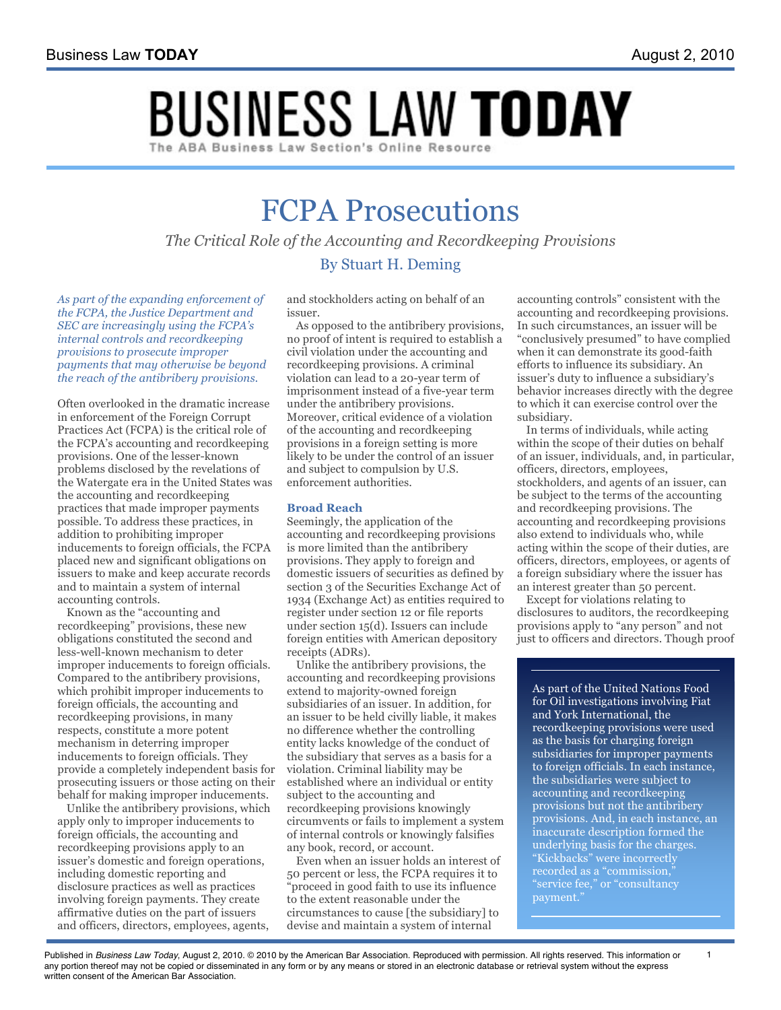# **BUSINESS LAW TODAY**

## FCPA Prosecutions

*The Critical Role of the Accounting and Recordkeeping Provisions* By Stuart H. Deming

*As part of the expanding enforcement of the FCPA, the Justice Department and SEC are increasingly using the FCPA's internal controls and recordkeeping provisions to prosecute improper payments that may otherwise be beyond the reach of the antibribery provisions.*

Often overlooked in the dramatic increase in enforcement of the Foreign Corrupt Practices Act (FCPA) is the critical role of the FCPA's accounting and recordkeeping provisions. One of the lesser-known problems disclosed by the revelations of the Watergate era in the United States was the accounting and recordkeeping practices that made improper payments possible. To address these practices, in addition to prohibiting improper inducements to foreign officials, the FCPA placed new and significant obligations on issuers to make and keep accurate records and to maintain a system of internal accounting controls.

Known as the "accounting and recordkeeping" provisions, these new obligations constituted the second and less-well-known mechanism to deter improper inducements to foreign officials. Compared to the antibribery provisions, which prohibit improper inducements to foreign officials, the accounting and recordkeeping provisions, in many respects, constitute a more potent mechanism in deterring improper inducements to foreign officials. They provide a completely independent basis for prosecuting issuers or those acting on their behalf for making improper inducements.

Unlike the antibribery provisions, which apply only to improper inducements to foreign officials, the accounting and recordkeeping provisions apply to an issuer's domestic and foreign operations, including domestic reporting and disclosure practices as well as practices involving foreign payments. They create affirmative duties on the part of issuers and officers, directors, employees, agents,

and stockholders acting on behalf of an issuer.

As opposed to the antibribery provisions, no proof of intent is required to establish a civil violation under the accounting and recordkeeping provisions. A criminal violation can lead to a 20-year term of imprisonment instead of a five-year term under the antibribery provisions. Moreover, critical evidence of a violation of the accounting and recordkeeping provisions in a foreign setting is more likely to be under the control of an issuer and subject to compulsion by U.S. enforcement authorities.

#### **Broad Reach**

Seemingly, the application of the accounting and recordkeeping provisions is more limited than the antibribery provisions. They apply to foreign and domestic issuers of securities as defined by section 3 of the Securities Exchange Act of 1934 (Exchange Act) as entities required to register under section 12 or file reports under section 15(d). Issuers can include foreign entities with American depository receipts (ADRs).

Unlike the antibribery provisions, the accounting and recordkeeping provisions extend to majority-owned foreign subsidiaries of an issuer. In addition, for an issuer to be held civilly liable, it makes no difference whether the controlling entity lacks knowledge of the conduct of the subsidiary that serves as a basis for a violation. Criminal liability may be established where an individual or entity subject to the accounting and recordkeeping provisions knowingly circumvents or fails to implement a system of internal controls or knowingly falsifies any book, record, or account.

Even when an issuer holds an interest of 50 percent or less, the FCPA requires it to "proceed in good faith to use its influence to the extent reasonable under the circumstances to cause [the subsidiary] to devise and maintain a system of internal

accounting controls" consistent with the accounting and recordkeeping provisions. In such circumstances, an issuer will be "conclusively presumed" to have complied when it can demonstrate its good-faith efforts to influence its subsidiary. An issuer's duty to influence a subsidiary's behavior increases directly with the degree to which it can exercise control over the subsidiary.

In terms of individuals, while acting within the scope of their duties on behalf of an issuer, individuals, and, in particular, officers, directors, employees, stockholders, and agents of an issuer, can be subject to the terms of the accounting and recordkeeping provisions. The accounting and recordkeeping provisions also extend to individuals who, while acting within the scope of their duties, are officers, directors, employees, or agents of a foreign subsidiary where the issuer has an interest greater than 50 percent.

Except for violations relating to disclosures to auditors, the recordkeeping provisions apply to "any person" and not just to officers and directors. Though proof

As part of the United Nations Food for Oil investigations involving Fiat and York International, the recordkeeping provisions were used as the basis for charging foreign subsidiaries for improper payments to foreign officials. In each instance, the subsidiaries were subject to accounting and recordkeeping provisions but not the antibribery provisions. And, in each instance, an inaccurate description formed the underlying basis for the charges. "Kickbacks" were incorrectly recorded as a "commission," "service fee," or "consultancy payment."

Published in *Business Law Today*, August 2, 2010. © 2010 by the American Bar Association. Reproduced with permission. All rights reserved. This information or 1 any portion thereof may not be copied or disseminated in any form or by any means or stored in an electronic database or retrieval system without the express written consent of the American Bar Association.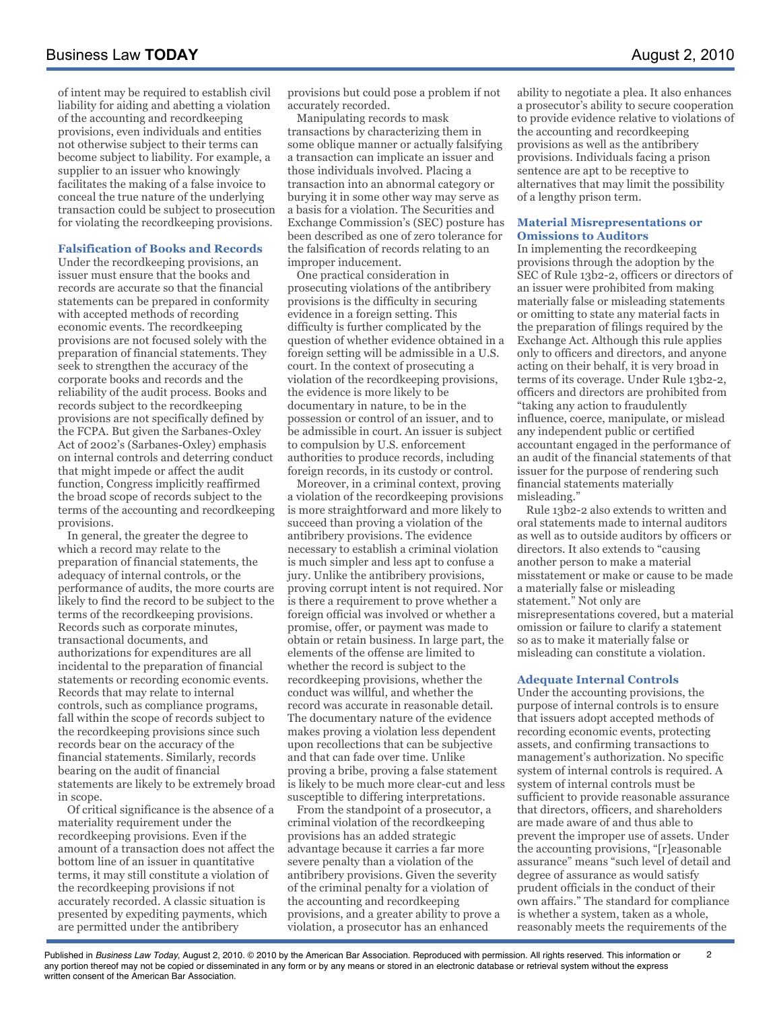of intent may be required to establish civil liability for aiding and abetting a violation of the accounting and recordkeeping provisions, even individuals and entities not otherwise subject to their terms can become subject to liability. For example, a supplier to an issuer who knowingly facilitates the making of a false invoice to conceal the true nature of the underlying transaction could be subject to prosecution for violating the recordkeeping provisions.

#### **Falsification of Books and Records**

Under the recordkeeping provisions, an issuer must ensure that the books and records are accurate so that the financial statements can be prepared in conformity with accepted methods of recording economic events. The recordkeeping provisions are not focused solely with the preparation of financial statements. They seek to strengthen the accuracy of the corporate books and records and the reliability of the audit process. Books and records subject to the recordkeeping provisions are not specifically defined by the FCPA. But given the Sarbanes-Oxley Act of 2002's (Sarbanes-Oxley) emphasis on internal controls and deterring conduct that might impede or affect the audit function, Congress implicitly reaffirmed the broad scope of records subject to the terms of the accounting and recordkeeping provisions.

In general, the greater the degree to which a record may relate to the preparation of financial statements, the adequacy of internal controls, or the performance of audits, the more courts are likely to find the record to be subject to the terms of the recordkeeping provisions. Records such as corporate minutes, transactional documents, and authorizations for expenditures are all incidental to the preparation of financial statements or recording economic events. Records that may relate to internal controls, such as compliance programs, fall within the scope of records subject to the recordkeeping provisions since such records bear on the accuracy of the financial statements. Similarly, records bearing on the audit of financial statements are likely to be extremely broad in scope.

Of critical significance is the absence of a materiality requirement under the recordkeeping provisions. Even if the amount of a transaction does not affect the bottom line of an issuer in quantitative terms, it may still constitute a violation of the recordkeeping provisions if not accurately recorded. A classic situation is presented by expediting payments, which are permitted under the antibribery

provisions but could pose a problem if not accurately recorded.

Manipulating records to mask transactions by characterizing them in some oblique manner or actually falsifying a transaction can implicate an issuer and those individuals involved. Placing a transaction into an abnormal category or burying it in some other way may serve as a basis for a violation. The Securities and Exchange Commission's (SEC) posture has been described as one of zero tolerance for the falsification of records relating to an improper inducement.

One practical consideration in prosecuting violations of the antibribery provisions is the difficulty in securing evidence in a foreign setting. This difficulty is further complicated by the question of whether evidence obtained in a foreign setting will be admissible in a U.S. court. In the context of prosecuting a violation of the recordkeeping provisions, the evidence is more likely to be documentary in nature, to be in the possession or control of an issuer, and to be admissible in court. An issuer is subject to compulsion by U.S. enforcement authorities to produce records, including foreign records, in its custody or control.

Moreover, in a criminal context, proving a violation of the recordkeeping provisions is more straightforward and more likely to succeed than proving a violation of the antibribery provisions. The evidence necessary to establish a criminal violation is much simpler and less apt to confuse a jury. Unlike the antibribery provisions, proving corrupt intent is not required. Nor is there a requirement to prove whether a foreign official was involved or whether a promise, offer, or payment was made to obtain or retain business. In large part, the elements of the offense are limited to whether the record is subject to the recordkeeping provisions, whether the conduct was willful, and whether the record was accurate in reasonable detail. The documentary nature of the evidence makes proving a violation less dependent upon recollections that can be subjective and that can fade over time. Unlike proving a bribe, proving a false statement is likely to be much more clear-cut and less susceptible to differing interpretations.

From the standpoint of a prosecutor, a criminal violation of the recordkeeping provisions has an added strategic advantage because it carries a far more severe penalty than a violation of the antibribery provisions. Given the severity of the criminal penalty for a violation of the accounting and recordkeeping provisions, and a greater ability to prove a violation, a prosecutor has an enhanced

ability to negotiate a plea. It also enhances a prosecutor's ability to secure cooperation to provide evidence relative to violations of the accounting and recordkeeping provisions as well as the antibribery provisions. Individuals facing a prison sentence are apt to be receptive to alternatives that may limit the possibility of a lengthy prison term.

#### **Material Misrepresentations or Omissions to Auditors**

In implementing the recordkeeping provisions through the adoption by the SEC of Rule 13b2-2, officers or directors of an issuer were prohibited from making materially false or misleading statements or omitting to state any material facts in the preparation of filings required by the Exchange Act. Although this rule applies only to officers and directors, and anyone acting on their behalf, it is very broad in terms of its coverage. Under Rule 13b2-2, officers and directors are prohibited from "taking any action to fraudulently influence, coerce, manipulate, or mislead any independent public or certified accountant engaged in the performance of an audit of the financial statements of that issuer for the purpose of rendering such financial statements materially misleading."

Rule 13b2-2 also extends to written and oral statements made to internal auditors as well as to outside auditors by officers or directors. It also extends to "causing another person to make a material misstatement or make or cause to be made a materially false or misleading statement." Not only are misrepresentations covered, but a material omission or failure to clarify a statement so as to make it materially false or misleading can constitute a violation.

#### **Adequate Internal Controls**

Under the accounting provisions, the purpose of internal controls is to ensure that issuers adopt accepted methods of recording economic events, protecting assets, and confirming transactions to management's authorization. No specific system of internal controls is required. A system of internal controls must be sufficient to provide reasonable assurance that directors, officers, and shareholders are made aware of and thus able to prevent the improper use of assets. Under the accounting provisions, "[r]easonable assurance" means "such level of detail and degree of assurance as would satisfy prudent officials in the conduct of their own affairs." The standard for compliance is whether a system, taken as a whole, reasonably meets the requirements of the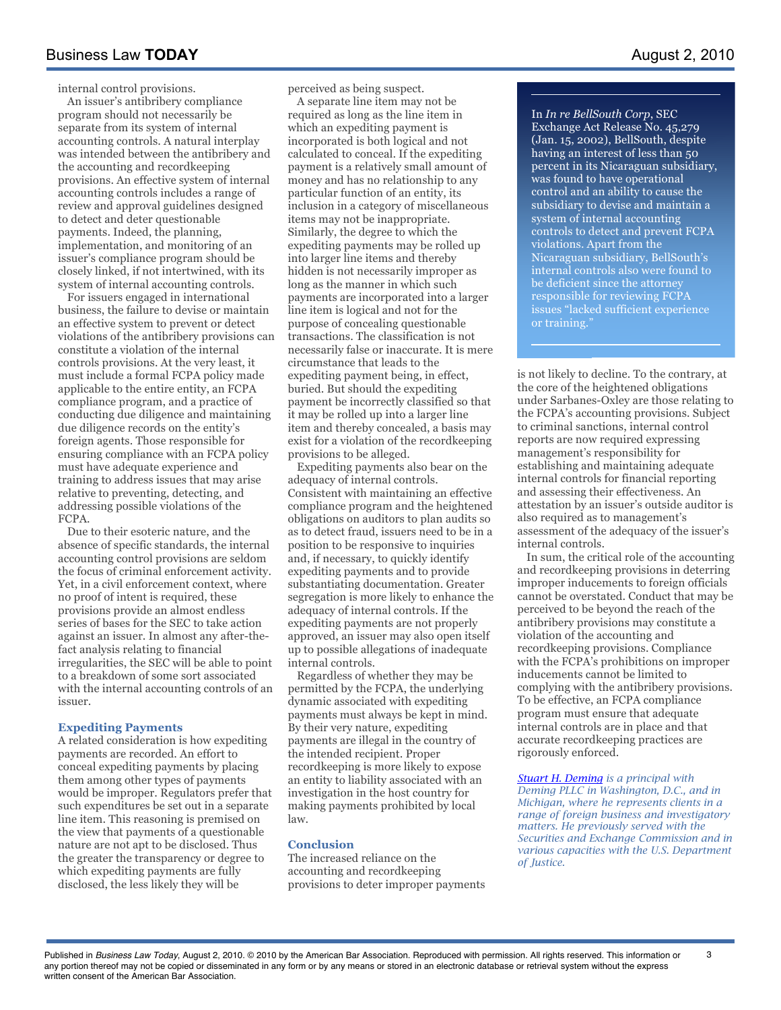internal control provisions.

An issuer's antibribery compliance program should not necessarily be separate from its system of internal accounting controls. A natural interplay was intended between the antibribery and the accounting and recordkeeping provisions. An effective system of internal accounting controls includes a range of review and approval guidelines designed to detect and deter questionable payments. Indeed, the planning, implementation, and monitoring of an issuer's compliance program should be closely linked, if not intertwined, with its system of internal accounting controls.

For issuers engaged in international business, the failure to devise or maintain an effective system to prevent or detect violations of the antibribery provisions can constitute a violation of the internal controls provisions. At the very least, it must include a formal FCPA policy made applicable to the entire entity, an FCPA compliance program, and a practice of conducting due diligence and maintaining due diligence records on the entity's foreign agents. Those responsible for ensuring compliance with an FCPA policy must have adequate experience and training to address issues that may arise relative to preventing, detecting, and addressing possible violations of the FCPA.

Due to their esoteric nature, and the absence of specific standards, the internal accounting control provisions are seldom the focus of criminal enforcement activity. Yet, in a civil enforcement context, where no proof of intent is required, these provisions provide an almost endless series of bases for the SEC to take action against an issuer. In almost any after-thefact analysis relating to financial irregularities, the SEC will be able to point to a breakdown of some sort associated with the internal accounting controls of an issuer.

#### **Expediting Payments**

A related consideration is how expediting payments are recorded. An effort to conceal expediting payments by placing them among other types of payments would be improper. Regulators prefer that such expenditures be set out in a separate line item. This reasoning is premised on the view that payments of a questionable nature are not apt to be disclosed. Thus the greater the transparency or degree to which expediting payments are fully disclosed, the less likely they will be

perceived as being suspect.

A separate line item may not be required as long as the line item in which an expediting payment is incorporated is both logical and not calculated to conceal. If the expediting payment is a relatively small amount of money and has no relationship to any particular function of an entity, its inclusion in a category of miscellaneous items may not be inappropriate. Similarly, the degree to which the expediting payments may be rolled up into larger line items and thereby hidden is not necessarily improper as long as the manner in which such payments are incorporated into a larger line item is logical and not for the purpose of concealing questionable transactions. The classification is not necessarily false or inaccurate. It is mere circumstance that leads to the expediting payment being, in effect, buried. But should the expediting payment be incorrectly classified so that it may be rolled up into a larger line item and thereby concealed, a basis may exist for a violation of the recordkeeping provisions to be alleged.

Expediting payments also bear on the adequacy of internal controls. Consistent with maintaining an effective compliance program and the heightened obligations on auditors to plan audits so as to detect fraud, issuers need to be in a position to be responsive to inquiries and, if necessary, to quickly identify expediting payments and to provide substantiating documentation. Greater segregation is more likely to enhance the adequacy of internal controls. If the expediting payments are not properly approved, an issuer may also open itself up to possible allegations of inadequate internal controls.

Regardless of whether they may be permitted by the FCPA, the underlying dynamic associated with expediting payments must always be kept in mind. By their very nature, expediting payments are illegal in the country of the intended recipient. Proper recordkeeping is more likely to expose an entity to liability associated with an investigation in the host country for making payments prohibited by local law.

#### **Conclusion**

The increased reliance on the accounting and recordkeeping provisions to deter improper payments In *In re BellSouth Corp*, SEC Exchange Act Release No. 45,279 (Jan. 15, 2002), BellSouth, despite having an interest of less than 50 percent in its Nicaraguan subsidiary, was found to have operational control and an ability to cause the subsidiary to devise and maintain a system of internal accounting controls to detect and prevent FCPA violations. Apart from the Nicaraguan subsidiary, BellSouth's internal controls also were found to be deficient since the attorney responsible for reviewing FCPA issues "lacked sufficient experience or training."

is not likely to decline. To the contrary, at the core of the heightened obligations under Sarbanes-Oxley are those relating to the FCPA's accounting provisions. Subject to criminal sanctions, internal control reports are now required expressing management's responsibility for establishing and maintaining adequate internal controls for financial reporting and assessing their effectiveness. An attestation by an issuer's outside auditor is also required as to management's assessment of the adequacy of the issuer's internal controls.

In sum, the critical role of the accounting and recordkeeping provisions in deterring improper inducements to foreign officials cannot be overstated. Conduct that may be perceived to be beyond the reach of the antibribery provisions may constitute a violation of the accounting and recordkeeping provisions. Compliance with the FCPA's prohibitions on improper inducements cannot be limited to complying with the antibribery provisions. To be effective, an FCPA compliance program must ensure that adequate internal controls are in place and that accurate recordkeeping practices are rigorously enforced.

*Stuart H. Deming is a principal with Deming PLLC in Washington, D.C., and in Michigan, where he represents clients in a range of foreign business and investigatory matters. He previously served with the Securities and Exchange Commission and in various capacities with the U.S. Department of Justice.*